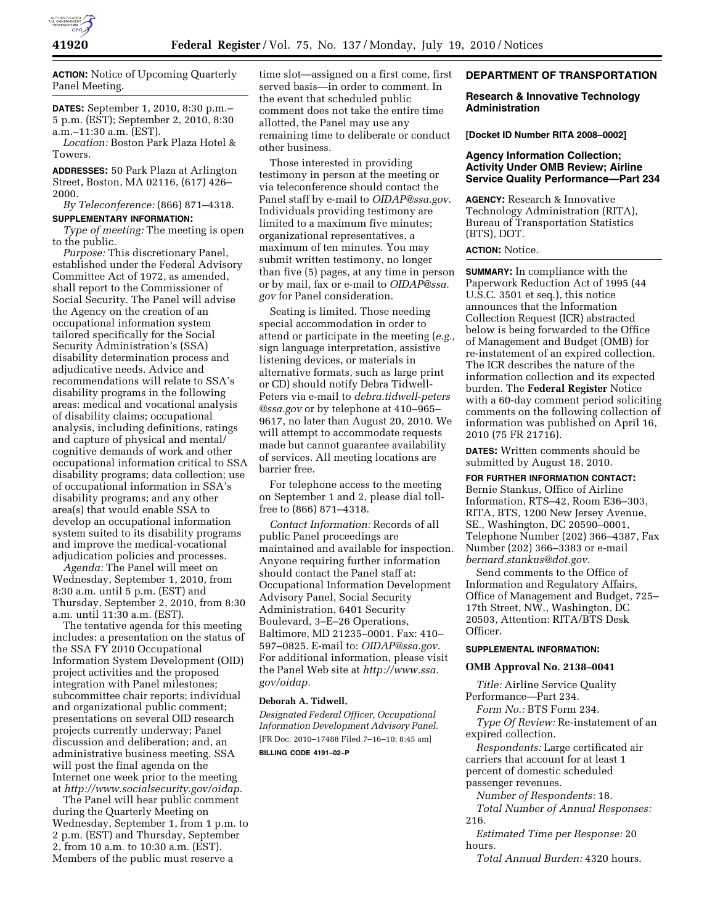

**ACTION:** Notice of Upcoming Quarterly Panel Meeting.

**DATES:** September 1, 2010, 8:30 p.m.– 5 p.m. (EST); September 2, 2010, 8:30 a.m.–11:30 a.m. (EST).

*Location:* Boston Park Plaza Hotel & Towers.

**ADDRESSES:** 50 Park Plaza at Arlington Street, Boston, MA 02116, (617) 426– 2000.

*By Teleconference:* (866) 871–4318.

## **SUPPLEMENTARY INFORMATION:**

*Type of meeting:* The meeting is open to the public.

*Purpose:* This discretionary Panel, established under the Federal Advisory Committee Act of 1972, as amended, shall report to the Commissioner of Social Security. The Panel will advise the Agency on the creation of an occupational information system tailored specifically for the Social Security Administration's (SSA) disability determination process and adjudicative needs. Advice and recommendations will relate to SSA's disability programs in the following areas: medical and vocational analysis of disability claims; occupational analysis, including definitions, ratings and capture of physical and mental/ cognitive demands of work and other occupational information critical to SSA disability programs; data collection; use of occupational information in SSA's disability programs; and any other area(s) that would enable SSA to develop an occupational information system suited to its disability programs and improve the medical-vocational adjudication policies and processes.

*Agenda:* The Panel will meet on Wednesday, September 1, 2010, from 8:30 a.m. until 5 p.m. (EST) and Thursday, September 2, 2010, from 8:30 a.m. until 11:30 a.m. (EST).

The tentative agenda for this meeting includes: a presentation on the status of the SSA FY 2010 Occupational Information System Development (OID) project activities and the proposed integration with Panel milestones; subcommittee chair reports; individual and organizational public comment; presentations on several OID research projects currently underway; Panel discussion and deliberation; and, an administrative business meeting. SSA will post the final agenda on the Internet one week prior to the meeting at *http://www.socialsecurity.gov/oidap.* 

The Panel will hear public comment during the Quarterly Meeting on Wednesday, September 1, from 1 p.m. to 2 p.m. (EST) and Thursday, September 2, from 10 a.m. to 10:30 a.m. (EST). Members of the public must reserve a

time slot—assigned on a first come, first served basis—in order to comment. In the event that scheduled public comment does not take the entire time allotted, the Panel may use any remaining time to deliberate or conduct other business.

Those interested in providing testimony in person at the meeting or via teleconference should contact the Panel staff by e-mail to *OIDAP@ssa.gov.*  Individuals providing testimony are limited to a maximum five minutes; organizational representatives, a maximum of ten minutes. You may submit written testimony, no longer than five (5) pages, at any time in person or by mail, fax or e-mail to *OIDAP@ssa. gov* for Panel consideration.

Seating is limited. Those needing special accommodation in order to attend or participate in the meeting (*e.g.,*  sign language interpretation, assistive listening devices, or materials in alternative formats, such as large print or CD) should notify Debra Tidwell-Peters via e-mail to *debra.tidwell-peters @ssa.gov* or by telephone at 410–965– 9617, no later than August 20, 2010. We will attempt to accommodate requests made but cannot guarantee availability of services. All meeting locations are barrier free.

For telephone access to the meeting on September 1 and 2, please dial tollfree to (866) 871–4318.

*Contact Information:* Records of all public Panel proceedings are maintained and available for inspection. Anyone requiring further information should contact the Panel staff at: Occupational Information Development Advisory Panel, Social Security Administration, 6401 Security Boulevard, 3–E–26 Operations, Baltimore, MD 21235–0001. Fax: 410– 597–0825. E-mail to: *OIDAP@ssa.gov.*  For additional information, please visit the Panel Web site at *http://www.ssa. gov/oidap.* 

#### **Deborah A. Tidwell,**

*Designated Federal Officer, Occupational Information Development Advisory Panel.*  [FR Doc. 2010–17488 Filed 7–16–10; 8:45 am] **BILLING CODE 4191–02–P** 

## **DEPARTMENT OF TRANSPORTATION**

## **Research & Innovative Technology Administration**

**[Docket ID Number RITA 2008–0002]** 

## **Agency Information Collection; Activity Under OMB Review; Airline Service Quality Performance—Part 234**

**AGENCY:** Research & Innovative Technology Administration (RITA), Bureau of Transportation Statistics (BTS), DOT.

## **ACTION:** Notice.

**SUMMARY:** In compliance with the Paperwork Reduction Act of 1995 (44 U.S.C. 3501 et seq.), this notice announces that the Information Collection Request (ICR) abstracted below is being forwarded to the Office of Management and Budget (OMB) for re-instatement of an expired collection. The ICR describes the nature of the information collection and its expected burden. The **Federal Register** Notice with a 60-day comment period soliciting comments on the following collection of information was published on April 16, 2010 (75 FR 21716).

**DATES:** Written comments should be submitted by August 18, 2010.

#### **FOR FURTHER INFORMATION CONTACT:**

Bernie Stankus, Office of Airline Information, RTS–42, Room E36–303, RITA, BTS, 1200 New Jersey Avenue, SE., Washington, DC 20590–0001, Telephone Number (202) 366–4387, Fax Number (202) 366–3383 or e-mail *bernard.stankus@dot.gov.* 

Send comments to the Office of Information and Regulatory Affairs, Office of Management and Budget, 725– 17th Street, NW., Washington, DC 20503, Attention: RITA/BTS Desk Officer.

## **SUPPLEMENTAL INFORMATION:**

#### **OMB Approval No. 2138–0041**

*Title:* Airline Service Quality Performance—Part 234.

*Form No.:* BTS Form 234.

*Type Of Review:* Re-instatement of an expired collection.

*Respondents:* Large certificated air carriers that account for at least 1 percent of domestic scheduled passenger revenues.

*Number of Respondents:* 18.

*Total Number of Annual Responses:*  216.

*Estimated Time per Response:* 20 hours.

*Total Annual Burden:* 4320 hours.